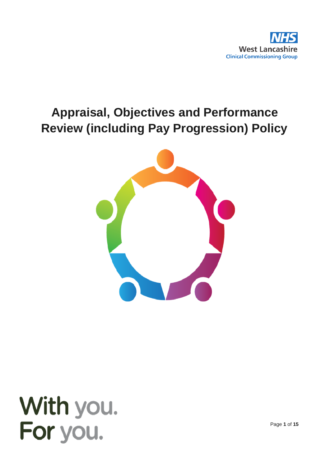

# **Appraisal, Objectives and Performance Review (including Pay Progression) Policy**





Page **1** of **15**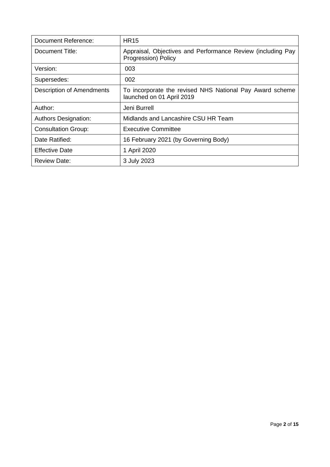| Document Reference:         | <b>HR15</b>                                                                           |
|-----------------------------|---------------------------------------------------------------------------------------|
| Document Title:             | Appraisal, Objectives and Performance Review (including Pay<br>Progression) Policy    |
| Version:                    | 003                                                                                   |
| Supersedes:                 | 002                                                                                   |
| Description of Amendments   | To incorporate the revised NHS National Pay Award scheme<br>launched on 01 April 2019 |
| Author:                     | Jeni Burrell                                                                          |
| <b>Authors Designation:</b> | Midlands and Lancashire CSU HR Team                                                   |
| <b>Consultation Group:</b>  | <b>Executive Committee</b>                                                            |
| Date Ratified:              | 16 February 2021 (by Governing Body)                                                  |
| <b>Effective Date</b>       | 1 April 2020                                                                          |
| <b>Review Date:</b>         | 3 July 2023                                                                           |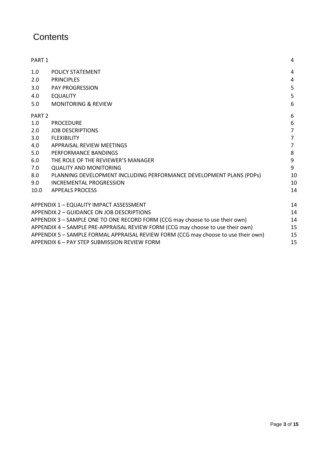# **Contents**

| PART <sub>1</sub> |                                                                                    | 4              |
|-------------------|------------------------------------------------------------------------------------|----------------|
| 1.0               | <b>POLICY STATEMENT</b>                                                            | 4              |
| 2.0               | <b>PRINCIPLES</b>                                                                  | 4              |
| 3.0               | <b>PAY PROGRESSION</b>                                                             | 5              |
| 4.0               | <b>EQUALITY</b>                                                                    | 5              |
| 5.0               | <b>MONITORING &amp; REVIEW</b>                                                     | 6              |
| PART <sub>2</sub> |                                                                                    | 6              |
| 1.0               | <b>PROCEDURE</b>                                                                   | 6              |
| 2.0               | <b>JOB DESCRIPTIONS</b>                                                            | 7              |
| 3.0               | <b>FLEXIBILITY</b>                                                                 | $\overline{7}$ |
| 4.0               | APPRAISAL REVIEW MEETINGS                                                          | $\overline{7}$ |
| 5.0               | PERFORMANCE BANDINGS                                                               | 8              |
| 6.0               | THE ROLE OF THE REVIEWER'S MANAGER                                                 | 9              |
| 7.0               | <b>QUALITY AND MONITORING</b>                                                      | 9              |
| 8.0               | PLANNING DEVELOPMENT INCLUDING PERFORMANCE DEVELOPMENT PLANS (PDPs)                | 10             |
| 9.0               | <b>INCREMENTAL PROGRESSION</b>                                                     | 10             |
| 10.0              | <b>APPEALS PROCESS</b>                                                             | 14             |
|                   | APPENDIX 1 - EQUALITY IMPACT ASSESSMENT                                            |                |
|                   | APPENDIX 2 - GUIDANCE ON JOB DESCRIPTIONS                                          |                |
|                   | APPENDIX 3 - SAMPLE ONE TO ONE RECORD FORM (CCG may choose to use their own)       |                |
|                   | APPENDIX 4 - SAMPLE PRE-APPRAISAL REVIEW FORM (CCG may choose to use their own)    |                |
|                   | APPENDIX 5 - SAMPLE FORMAL APPRAISAL REVIEW FORM (CCG may choose to use their own) |                |
|                   | APPENDIX 6 - PAY STEP SUBMISSION REVIEW FORM                                       |                |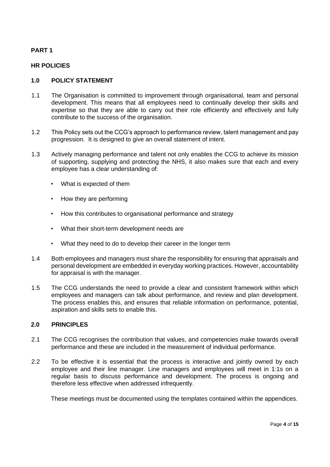# **PART 1**

#### **HR POLICIES**

#### **1.0 POLICY STATEMENT**

- 1.1 The Organisation is committed to improvement through organisational, team and personal development. This means that all employees need to continually develop their skills and expertise so that they are able to carry out their role efficiently and effectively and fully contribute to the success of the organisation.
- 1.2 This Policy sets out the CCG's approach to performance review, talent management and pay progression. It is designed to give an overall statement of intent.
- 1.3 Actively managing performance and talent not only enables the CCG to achieve its mission of supporting, supplying and protecting the NHS, it also makes sure that each and every employee has a clear understanding of:
	- What is expected of them
	- How they are performing
	- How this contributes to organisational performance and strategy
	- What their short-term development needs are
	- What they need to do to develop their career in the longer term
- 1.4 Both employees and managers must share the responsibility for ensuring that appraisals and personal development are embedded in everyday working practices. However, accountability for appraisal is with the manager.
- 1.5 The CCG understands the need to provide a clear and consistent framework within which employees and managers can talk about performance, and review and plan development. The process enables this, and ensures that reliable information on performance, potential, aspiration and skills sets to enable this.

# **2.0 PRINCIPLES**

- 2.1 The CCG recognises the contribution that values, and competencies make towards overall performance and these are included in the measurement of individual performance.
- 2.2 To be effective it is essential that the process is interactive and jointly owned by each employee and their line manager. Line managers and employees will meet in 1:1s on a regular basis to discuss performance and development. The process is ongoing and therefore less effective when addressed infrequently.

These meetings must be documented using the templates contained within the appendices.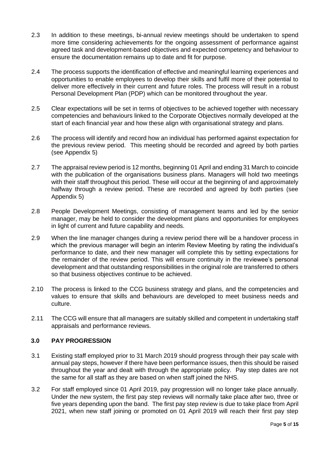- 2.3 In addition to these meetings, bi-annual review meetings should be undertaken to spend more time considering achievements for the ongoing assessment of performance against agreed task and development-based objectives and expected competency and behaviour to ensure the documentation remains up to date and fit for purpose.
- 2.4 The process supports the identification of effective and meaningful learning experiences and opportunities to enable employees to develop their skills and fulfil more of their potential to deliver more effectively in their current and future roles. The process will result in a robust Personal Development Plan (PDP) which can be monitored throughout the year.
- 2.5 Clear expectations will be set in terms of objectives to be achieved together with necessary competencies and behaviours linked to the Corporate Objectives normally developed at the start of each financial year and how these align with organisational strategy and plans.
- 2.6 The process will identify and record how an individual has performed against expectation for the previous review period. This meeting should be recorded and agreed by both parties (see Appendix 5)
- 2.7 The appraisal review period is 12 months, beginning 01 April and ending 31 March to coincide with the publication of the organisations business plans. Managers will hold two meetings with their staff throughout this period. These will occur at the beginning of and approximately halfway through a review period. These are recorded and agreed by both parties (see Appendix 5)
- 2.8 People Development Meetings, consisting of management teams and led by the senior manager, may be held to consider the development plans and opportunities for employees in light of current and future capability and needs.
- 2.9 When the line manager changes during a review period there will be a handover process in which the previous manager will begin an interim Review Meeting by rating the individual's performance to date, and their new manager will complete this by setting expectations for the remainder of the review period. This will ensure continuity in the reviewee's personal development and that outstanding responsibilities in the original role are transferred to others so that business objectives continue to be achieved.
- 2.10 The process is linked to the CCG business strategy and plans, and the competencies and values to ensure that skills and behaviours are developed to meet business needs and culture.
- 2.11 The CCG will ensure that all managers are suitably skilled and competent in undertaking staff appraisals and performance reviews.

# **3.0 PAY PROGRESSION**

- 3.1 Existing staff employed prior to 31 March 2019 should progress through their pay scale with annual pay steps, however if there have been performance issues, then this should be raised throughout the year and dealt with through the appropriate policy. Pay step dates are not the same for all staff as they are based on when staff joined the NHS.
- 3.2 For staff employed since 01 April 2019, pay progression will no longer take place annually. Under the new system, the first pay step reviews will normally take place after two, three or five years depending upon the band. The first pay step review is due to take place from April 2021, when new staff joining or promoted on 01 April 2019 will reach their first pay step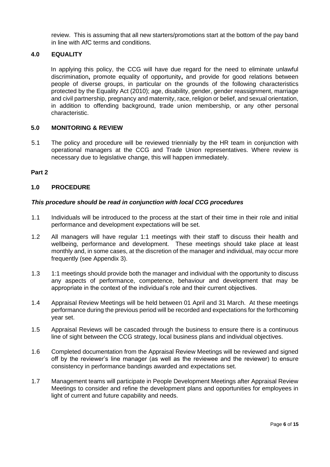review. This is assuming that all new starters/promotions start at the bottom of the pay band in line with AfC terms and conditions.

#### **4.0 EQUALITY**

In applying this policy, the CCG will have due regard for the need to eliminate unlawful discrimination**,** promote equality of opportunity**,** and provide for good relations between people of diverse groups, in particular on the grounds of the following characteristics protected by the Equality Act (2010); age, disability, gender, gender reassignment, marriage and civil partnership, pregnancy and maternity, race, religion or belief, and sexual orientation, in addition to offending background, trade union membership, or any other personal characteristic.

#### **5.0 MONITORING & REVIEW**

5.1 The policy and procedure will be reviewed triennially by the HR team in conjunction with operational managers at the CCG and Trade Union representatives. Where review is necessary due to legislative change, this will happen immediately.

#### **Part 2**

#### **1.0 PROCEDURE**

#### *This procedure should be read in conjunction with local CCG procedures*

- 1.1 Individuals will be introduced to the process at the start of their time in their role and initial performance and development expectations will be set.
- 1.2 All managers will have regular 1:1 meetings with their staff to discuss their health and wellbeing, performance and development. These meetings should take place at least monthly and, in some cases, at the discretion of the manager and individual, may occur more frequently (see Appendix 3).
- 1.3 1:1 meetings should provide both the manager and individual with the opportunity to discuss any aspects of performance, competence, behaviour and development that may be appropriate in the context of the individual's role and their current objectives.
- 1.4 Appraisal Review Meetings will be held between 01 April and 31 March. At these meetings performance during the previous period will be recorded and expectations for the forthcoming year set.
- 1.5 Appraisal Reviews will be cascaded through the business to ensure there is a continuous line of sight between the CCG strategy, local business plans and individual objectives.
- 1.6 Completed documentation from the Appraisal Review Meetings will be reviewed and signed off by the reviewer's line manager (as well as the reviewee and the reviewer) to ensure consistency in performance bandings awarded and expectations set.
- 1.7 Management teams will participate in People Development Meetings after Appraisal Review Meetings to consider and refine the development plans and opportunities for employees in light of current and future capability and needs.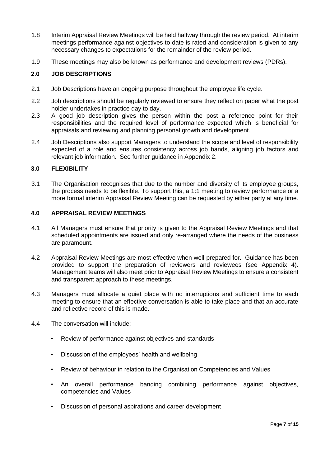- 1.8 Interim Appraisal Review Meetings will be held halfway through the review period. At interim meetings performance against objectives to date is rated and consideration is given to any necessary changes to expectations for the remainder of the review period.
- 1.9 These meetings may also be known as performance and development reviews (PDRs).

# **2.0 JOB DESCRIPTIONS**

- 2.1 Job Descriptions have an ongoing purpose throughout the employee life cycle.
- 2.2 Job descriptions should be regularly reviewed to ensure they reflect on paper what the post holder undertakes in practice day to day.
- 2.3 A good job description gives the person within the post a reference point for their responsibilities and the required level of performance expected which is beneficial for appraisals and reviewing and planning personal growth and development.
- 2.4 Job Descriptions also support Managers to understand the scope and level of responsibility expected of a role and ensures consistency across job bands, aligning job factors and relevant job information. See further guidance in Appendix 2.

#### **3.0 FLEXIBILITY**

3.1 The Organisation recognises that due to the number and diversity of its employee groups, the process needs to be flexible. To support this, a 1:1 meeting to review performance or a more formal interim Appraisal Review Meeting can be requested by either party at any time.

# **4.0 APPRAISAL REVIEW MEETINGS**

- 4.1 All Managers must ensure that priority is given to the Appraisal Review Meetings and that scheduled appointments are issued and only re-arranged where the needs of the business are paramount.
- 4.2 Appraisal Review Meetings are most effective when well prepared for. Guidance has been provided to support the preparation of reviewers and reviewees (see Appendix 4). Management teams will also meet prior to Appraisal Review Meetings to ensure a consistent and transparent approach to these meetings.
- 4.3 Managers must allocate a quiet place with no interruptions and sufficient time to each meeting to ensure that an effective conversation is able to take place and that an accurate and reflective record of this is made.
- 4.4 The conversation will include:
	- Review of performance against objectives and standards
	- Discussion of the employees' health and wellbeing
	- Review of behaviour in relation to the Organisation Competencies and Values
	- An overall performance banding combining performance against objectives, competencies and Values
	- Discussion of personal aspirations and career development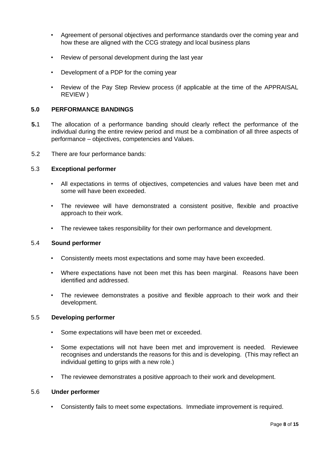- Agreement of personal objectives and performance standards over the coming year and how these are aligned with the CCG strategy and local business plans
- Review of personal development during the last year
- Development of a PDP for the coming year
- Review of the Pay Step Review process (if applicable at the time of the APPRAISAL REVIEW )

#### **5.0 PERFORMANCE BANDINGS**

- **5.**1 The allocation of a performance banding should clearly reflect the performance of the individual during the entire review period and must be a combination of all three aspects of performance – objectives, competencies and Values.
- 5.2 There are four performance bands:

#### 5.3 **Exceptional performer**

- All expectations in terms of objectives, competencies and values have been met and some will have been exceeded.
- The reviewee will have demonstrated a consistent positive, flexible and proactive approach to their work.
- The reviewee takes responsibility for their own performance and development.

#### 5.4 **Sound performer**

- Consistently meets most expectations and some may have been exceeded.
- Where expectations have not been met this has been marginal. Reasons have been identified and addressed.
- The reviewee demonstrates a positive and flexible approach to their work and their development.

#### 5.5 **Developing performer**

- Some expectations will have been met or exceeded.
- Some expectations will not have been met and improvement is needed. Reviewee recognises and understands the reasons for this and is developing. (This may reflect an individual getting to grips with a new role.)
- The reviewee demonstrates a positive approach to their work and development.

#### 5.6 **Under performer**

• Consistently fails to meet some expectations. Immediate improvement is required.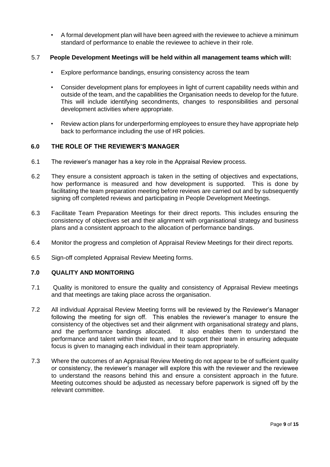• A formal development plan will have been agreed with the reviewee to achieve a minimum standard of performance to enable the reviewee to achieve in their role.

# 5.7 **People Development Meetings will be held within all management teams which will:**

- Explore performance bandings, ensuring consistency across the team
- Consider development plans for employees in light of current capability needs within and outside of the team, and the capabilities the Organisation needs to develop for the future. This will include identifying secondments, changes to responsibilities and personal development activities where appropriate.
- Review action plans for underperforming employees to ensure they have appropriate help back to performance including the use of HR policies.

# **6.0 THE ROLE OF THE REVIEWER'S MANAGER**

- 6.1 The reviewer's manager has a key role in the Appraisal Review process.
- 6.2 They ensure a consistent approach is taken in the setting of objectives and expectations, how performance is measured and how development is supported. This is done by facilitating the team preparation meeting before reviews are carried out and by subsequently signing off completed reviews and participating in People Development Meetings.
- 6.3 Facilitate Team Preparation Meetings for their direct reports. This includes ensuring the consistency of objectives set and their alignment with organisational strategy and business plans and a consistent approach to the allocation of performance bandings.
- 6.4 Monitor the progress and completion of Appraisal Review Meetings for their direct reports.
- 6.5 Sign-off completed Appraisal Review Meeting forms.

# **7.0 QUALITY AND MONITORING**

- 7.1 Quality is monitored to ensure the quality and consistency of Appraisal Review meetings and that meetings are taking place across the organisation.
- 7.2 All individual Appraisal Review Meeting forms will be reviewed by the Reviewer's Manager following the meeting for sign off. This enables the reviewer's manager to ensure the consistency of the objectives set and their alignment with organisational strategy and plans, and the performance bandings allocated. It also enables them to understand the performance and talent within their team, and to support their team in ensuring adequate focus is given to managing each individual in their team appropriately.
- 7.3 Where the outcomes of an Appraisal Review Meeting do not appear to be of sufficient quality or consistency, the reviewer's manager will explore this with the reviewer and the reviewee to understand the reasons behind this and ensure a consistent approach in the future. Meeting outcomes should be adjusted as necessary before paperwork is signed off by the relevant committee.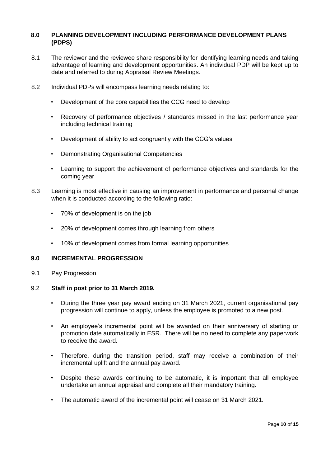# **8.0 PLANNING DEVELOPMENT INCLUDING PERFORMANCE DEVELOPMENT PLANS (PDPS)**

- 8.1 The reviewer and the reviewee share responsibility for identifying learning needs and taking advantage of learning and development opportunities. An individual PDP will be kept up to date and referred to during Appraisal Review Meetings.
- 8.2 Individual PDPs will encompass learning needs relating to:
	- Development of the core capabilities the CCG need to develop
	- Recovery of performance objectives / standards missed in the last performance year including technical training
	- Development of ability to act congruently with the CCG's values
	- Demonstrating Organisational Competencies
	- Learning to support the achievement of performance objectives and standards for the coming year
- 8.3 Learning is most effective in causing an improvement in performance and personal change when it is conducted according to the following ratio:
	- 70% of development is on the job
	- 20% of development comes through learning from others
	- 10% of development comes from formal learning opportunities

#### **9.0 INCREMENTAL PROGRESSION**

9.1 Pay Progression

#### 9.2 **Staff in post prior to 31 March 2019.**

- During the three year pay award ending on 31 March 2021, current organisational pay progression will continue to apply, unless the employee is promoted to a new post.
- An employee's incremental point will be awarded on their anniversary of starting or promotion date automatically in ESR. There will be no need to complete any paperwork to receive the award.
- Therefore, during the transition period, staff may receive a combination of their incremental uplift and the annual pay award.
- Despite these awards continuing to be automatic, it is important that all employee undertake an annual appraisal and complete all their mandatory training.
- The automatic award of the incremental point will cease on 31 March 2021.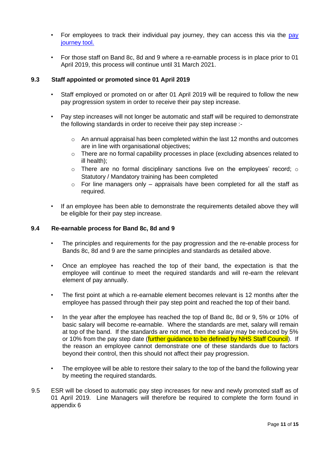- For employees to track their individual pay journey, they can access this via the [pay](https://www.nhsemployers.org/pay-pensions-and-reward/2018-contract-refresh/pay-journey-tool) [journey tool.](https://www.nhsemployers.org/pay-pensions-and-reward/2018-contract-refresh/pay-journey-tool)
- For those staff on Band 8c, 8d and 9 where a re-earnable process is in place prior to 01 April 2019, this process will continue until 31 March 2021.

# **9.3 Staff appointed or promoted since 01 April 2019**

- Staff employed or promoted on or after 01 April 2019 will be required to follow the new pay progression system in order to receive their pay step increase.
- Pay step increases will not longer be automatic and staff will be required to demonstrate the following standards in order to receive their pay step increase :-
	- $\circ$  An annual appraisal has been completed within the last 12 months and outcomes are in line with organisational objectives;
	- o There are no formal capability processes in place (excluding absences related to ill health);
	- $\circ$  There are no formal disciplinary sanctions live on the employees' record;  $\circ$ Statutory / Mandatory training has been completed
	- $\circ$  For line managers only appraisals have been completed for all the staff as required.
- If an employee has been able to demonstrate the requirements detailed above they will be eligible for their pay step increase.

# **9.4 Re-earnable process for Band 8c, 8d and 9**

- The principles and requirements for the pay progression and the re-enable process for Bands 8c, 8d and 9 are the same principles and standards as detailed above.
- Once an employee has reached the top of their band, the expectation is that the employee will continue to meet the required standards and will re-earn the relevant element of pay annually.
- The first point at which a re-earnable element becomes relevant is 12 months after the employee has passed through their pay step point and reached the top of their band.
- In the year after the employee has reached the top of Band 8c, 8d or 9, 5% or 10% of basic salary will become re-earnable. Where the standards are met, salary will remain at top of the band. If the standards are not met, then the salary may be reduced by 5% or 10% from the pay step date (further guidance to be defined by NHS Staff Council). If the reason an employee cannot demonstrate one of these standards due to factors beyond their control, then this should not affect their pay progression.
- The employee will be able to restore their salary to the top of the band the following year by meeting the required standards.
- 9.5 ESR will be closed to automatic pay step increases for new and newly promoted staff as of 01 April 2019. Line Managers will therefore be required to complete the form found in appendix 6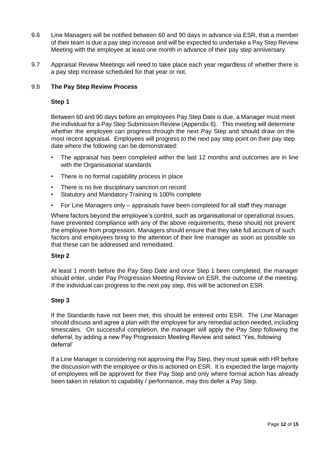- 9.6 Line Managers will be notified between 60 and 90 days in advance via ESR, that a member of their team is due a pay step increase and will be expected to undertake a Pay Step Review Meeting with the employee at least one month in advance of their pay step anniversary.
- 9.7 Appraisal Review Meetings will need to take place each year regardless of whether there is a pay step increase scheduled for that year or not.

# 9.8 **The Pay Step Review Process**

#### **Step 1**

Between 60 and 90 days before an employees Pay Step Date is due, a Manager must meet the individual for a Pay Step Submission Review (Appendix 6). This meeting will determine whether the employee can progress through the next Pay Step and should draw on the most recent appraisal. Employees will progress to the next pay step point on their pay step date where the following can be demonstrated:

- The appraisal has been completed within the last 12 months and outcomes are in line with the Organisational standards
- There is no formal capability process in place
- There is no live disciplinary sanction on record
- Statutory and Mandatory Training is 100% complete
- For Line Managers only appraisals have been completed for all staff they manage

Where factors beyond the employee's control, such as organisational or operational issues, have prevented compliance with any of the above requirements, these should not prevent the employee from progression. Managers should ensure that they take full account of such factors and employees bring to the attention of their line manager as soon as possible so that these can be addressed and remediated.

#### **Step 2**

At least 1 month before the Pay Step Date and once Step 1 been completed, the manager should enter, under Pay Progression Meeting Review on ESR, the outcome of the meeting. If the individual can progress to the next pay step, this will be actioned on ESR.

# **Step 3**

If the Standards have not been met, this should be entered onto ESR. The Line Manager should discuss and agree a plan with the employee for any remedial action needed, including timescales. On successful completion, the manager will apply the Pay Step following the deferral, by adding a new Pay Progression Meeting Review and select 'Yes, following deferral'

If a Line Manager is considering not approving the Pay Step, they must speak with HR before the discussion with the employee or this is actioned on ESR. It is expected the large majority of employees will be approved for their Pay Step and only where formal action has already been taken in relation to capability / performance, may this defer a Pay Step.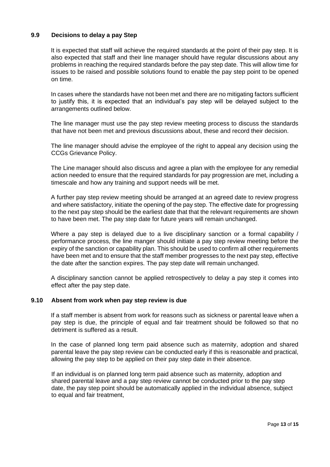# **9.9 Decisions to delay a pay Step**

It is expected that staff will achieve the required standards at the point of their pay step. It is also expected that staff and their line manager should have regular discussions about any problems in reaching the required standards before the pay step date. This will allow time for issues to be raised and possible solutions found to enable the pay step point to be opened on time.

In cases where the standards have not been met and there are no mitigating factors sufficient to justify this, it is expected that an individual's pay step will be delayed subject to the arrangements outlined below.

The line manager must use the pay step review meeting process to discuss the standards that have not been met and previous discussions about, these and record their decision.

The line manager should advise the employee of the right to appeal any decision using the CCGs Grievance Policy.

The Line manager should also discuss and agree a plan with the employee for any remedial action needed to ensure that the required standards for pay progression are met, including a timescale and how any training and support needs will be met.

A further pay step review meeting should be arranged at an agreed date to review progress and where satisfactory, initiate the opening of the pay step. The effective date for progressing to the next pay step should be the earliest date that that the relevant requirements are shown to have been met. The pay step date for future years will remain unchanged.

Where a pay step is delayed due to a live disciplinary sanction or a formal capability / performance process, the line manger should initiate a pay step review meeting before the expiry of the sanction or capability plan. This should be used to confirm all other requirements have been met and to ensure that the staff member progresses to the next pay step, effective the date after the sanction expires. The pay step date will remain unchanged.

A disciplinary sanction cannot be applied retrospectively to delay a pay step it comes into effect after the pay step date.

#### **9.10 Absent from work when pay step review is due**

If a staff member is absent from work for reasons such as sickness or parental leave when a pay step is due, the principle of equal and fair treatment should be followed so that no detriment is suffered as a result.

In the case of planned long term paid absence such as maternity, adoption and shared parental leave the pay step review can be conducted early if this is reasonable and practical, allowing the pay step to be applied on their pay step date in their absence.

If an individual is on planned long term paid absence such as maternity, adoption and shared parental leave and a pay step review cannot be conducted prior to the pay step date, the pay step point should be automatically applied in the individual absence, subject to equal and fair treatment,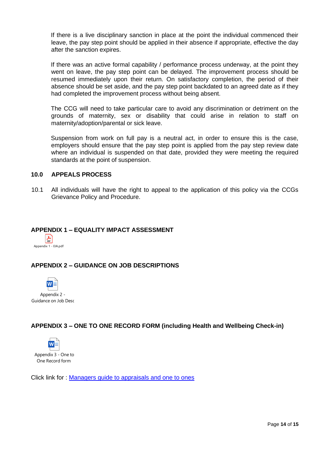If there is a live disciplinary sanction in place at the point the individual commenced their leave, the pay step point should be applied in their absence if appropriate, effective the day after the sanction expires.

If there was an active formal capability / performance process underway, at the point they went on leave, the pay step point can be delayed. The improvement process should be resumed immediately upon their return. On satisfactory completion, the period of their absence should be set aside, and the pay step point backdated to an agreed date as if they had completed the improvement process without being absent.

The CCG will need to take particular care to avoid any discrimination or detriment on the grounds of maternity, sex or disability that could arise in relation to staff on maternity/adoption/parental or sick leave.

Suspension from work on full pay is a neutral act, in order to ensure this is the case, employers should ensure that the pay step point is applied from the pay step review date where an individual is suspended on that date, provided they were meeting the required standards at the point of suspension.

#### **10.0 APPEALS PROCESS**

10.1 All individuals will have the right to appeal to the application of this policy via the CCGs Grievance Policy and Procedure.

#### **APPENDIX 1 – EQUALITY IMPACT ASSESSMENT**



# **APPENDIX 2 – GUIDANCE ON JOB DESCRIPTIONS**



# **APPENDIX 3 – ONE TO ONE RECORD FORM (including Health and Wellbeing Check-in)**



Click link for : [Managers guide to appraisals and one to ones](https://sway.office.com/p2qQ4H11w5Yq1bEV?ref=Link)